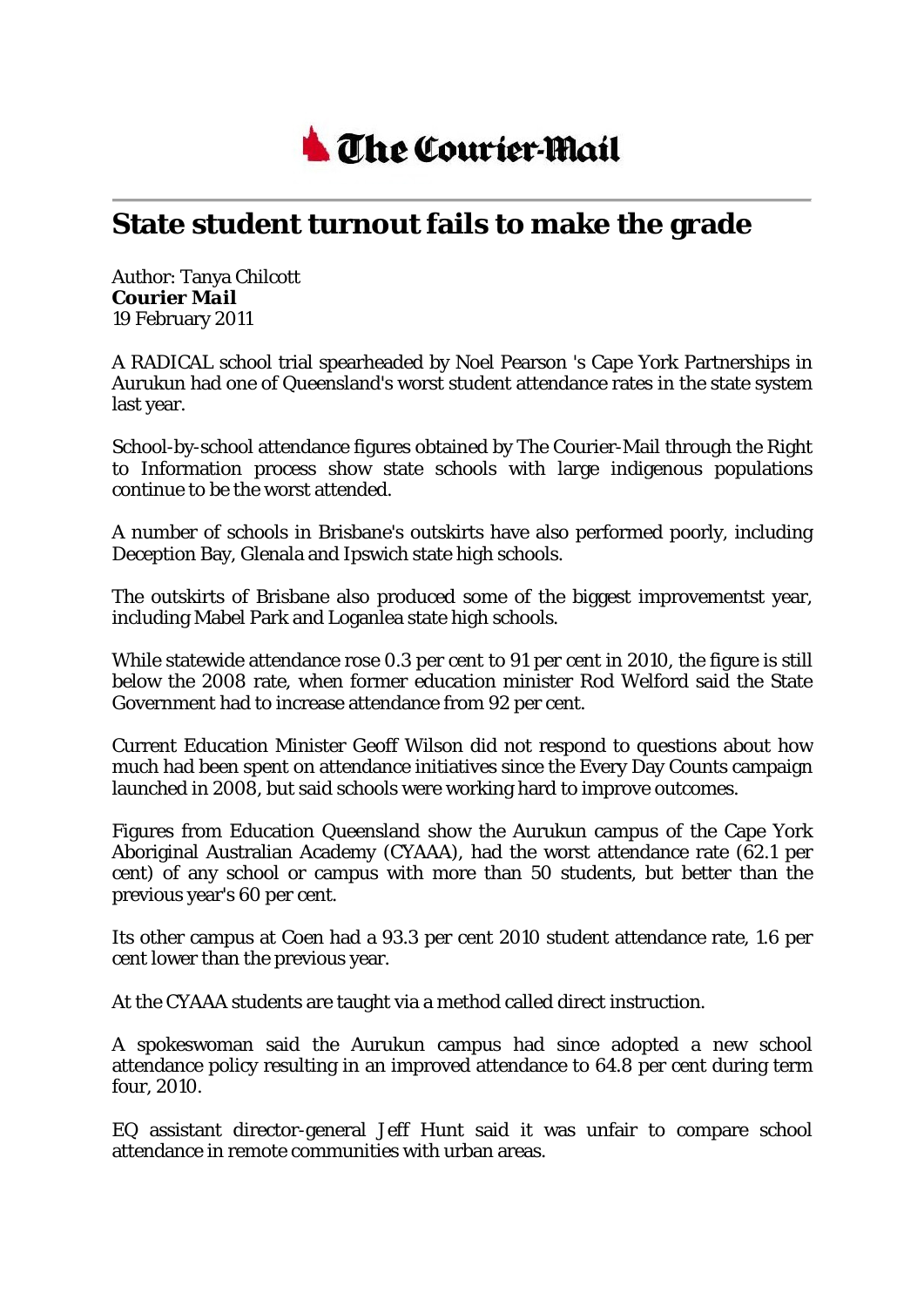

## **State student turnout fails to make the grade**

Author: Tanya Chilcott *Courier Mail* 19 February 2011

A RADICAL school trial spearheaded by Noel Pearson 's Cape York Partnerships in Aurukun had one of Queensland's worst student attendance rates in the state system last year.

School-by-school attendance figures obtained by The Courier-Mail through the Right to Information process show state schools with large indigenous populations continue to be the worst attended.

A number of schools in Brisbane's outskirts have also performed poorly, including Deception Bay, Glenala and Ipswich state high schools.

The outskirts of Brisbane also produced some of the biggest improvementst year, including Mabel Park and Loganlea state high schools.

While statewide attendance rose 0.3 per cent to 91 per cent in 2010, the figure is still below the 2008 rate, when former education minister Rod Welford said the State Government had to increase attendance from 92 per cent.

Current Education Minister Geoff Wilson did not respond to questions about how much had been spent on attendance initiatives since the Every Day Counts campaign launched in 2008, but said schools were working hard to improve outcomes.

Figures from Education Queensland show the Aurukun campus of the Cape York Aboriginal Australian Academy (CYAAA), had the worst attendance rate (62.1 per cent) of any school or campus with more than 50 students, but better than the previous year's 60 per cent.

Its other campus at Coen had a 93.3 per cent 2010 student attendance rate, 1.6 per cent lower than the previous year.

At the CYAAA students are taught via a method called direct instruction.

A spokeswoman said the Aurukun campus had since adopted a new school attendance policy resulting in an improved attendance to 64.8 per cent during term four, 2010.

EQ assistant director-general Jeff Hunt said it was unfair to compare school attendance in remote communities with urban areas.